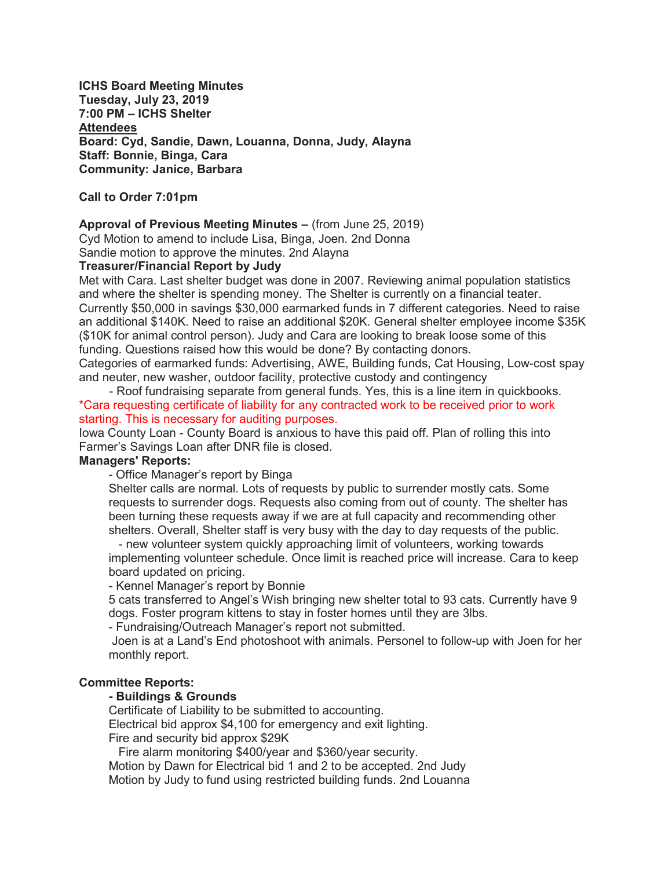ICHS Board Meeting Minutes Tuesday, July 23, 2019 7:00 PM – ICHS Shelter **Attendees** Board: Cyd, Sandie, Dawn, Louanna, Donna, Judy, Alayna Staff: Bonnie, Binga, Cara Community: Janice, Barbara

Call to Order 7:01pm

#### Approval of Previous Meeting Minutes – (from June 25, 2019)

Cyd Motion to amend to include Lisa, Binga, Joen. 2nd Donna

Sandie motion to approve the minutes. 2nd Alayna

### Treasurer/Financial Report by Judy

Met with Cara. Last shelter budget was done in 2007. Reviewing animal population statistics and where the shelter is spending money. The Shelter is currently on a financial teater. Currently \$50,000 in savings \$30,000 earmarked funds in 7 different categories. Need to raise an additional \$140K. Need to raise an additional \$20K. General shelter employee income \$35K (\$10K for animal control person). Judy and Cara are looking to break loose some of this funding. Questions raised how this would be done? By contacting donors.

Categories of earmarked funds: Advertising, AWE, Building funds, Cat Housing, Low-cost spay and neuter, new washer, outdoor facility, protective custody and contingency

 - Roof fundraising separate from general funds. Yes, this is a line item in quickbooks. \*Cara requesting certificate of liability for any contracted work to be received prior to work starting. This is necessary for auditing purposes.

Iowa County Loan - County Board is anxious to have this paid off. Plan of rolling this into Farmer's Savings Loan after DNR file is closed.

#### Managers' Reports:

- Office Manager's report by Binga

Shelter calls are normal. Lots of requests by public to surrender mostly cats. Some requests to surrender dogs. Requests also coming from out of county. The shelter has been turning these requests away if we are at full capacity and recommending other shelters. Overall, Shelter staff is very busy with the day to day requests of the public.

 - new volunteer system quickly approaching limit of volunteers, working towards implementing volunteer schedule. Once limit is reached price will increase. Cara to keep board updated on pricing.

- Kennel Manager's report by Bonnie

5 cats transferred to Angel's Wish bringing new shelter total to 93 cats. Currently have 9 dogs. Foster program kittens to stay in foster homes until they are 3lbs.

- Fundraising/Outreach Manager's report not submitted.

 Joen is at a Land's End photoshoot with animals. Personel to follow-up with Joen for her monthly report.

#### Committee Reports:

#### - Buildings & Grounds

Certificate of Liability to be submitted to accounting.

Electrical bid approx \$4,100 for emergency and exit lighting.

Fire and security bid approx \$29K

Fire alarm monitoring \$400/year and \$360/year security.

Motion by Dawn for Electrical bid 1 and 2 to be accepted. 2nd Judy Motion by Judy to fund using restricted building funds. 2nd Louanna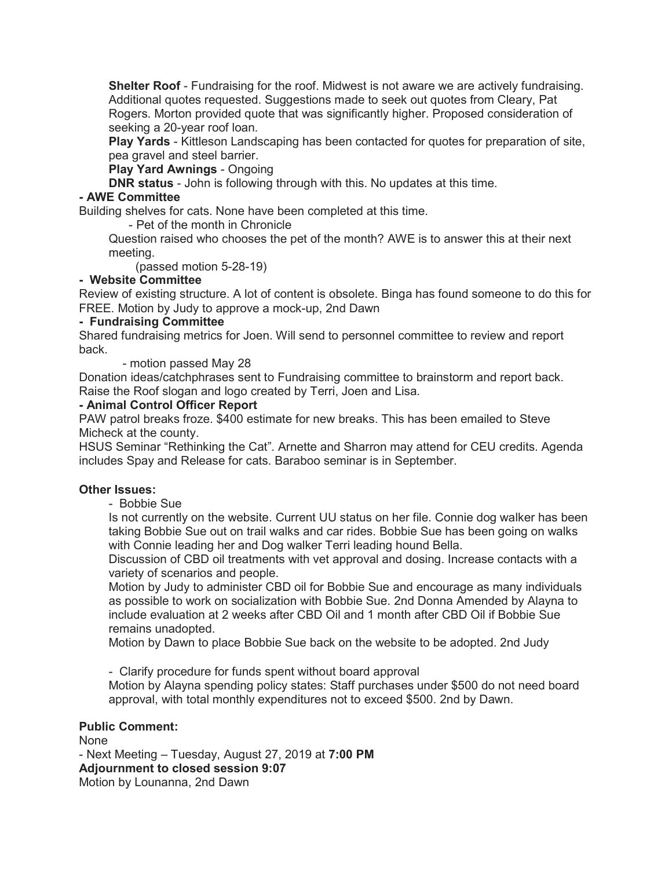Shelter Roof - Fundraising for the roof. Midwest is not aware we are actively fundraising. Additional quotes requested. Suggestions made to seek out quotes from Cleary, Pat Rogers. Morton provided quote that was significantly higher. Proposed consideration of seeking a 20-year roof loan.

Play Yards - Kittleson Landscaping has been contacted for quotes for preparation of site, pea gravel and steel barrier.

Play Yard Awnings - Ongoing

**DNR status** - John is following through with this. No updates at this time.

## - AWE Committee

Building shelves for cats. None have been completed at this time.

- Pet of the month in Chronicle

Question raised who chooses the pet of the month? AWE is to answer this at their next meeting.

(passed motion 5-28-19)

### - Website Committee

Review of existing structure. A lot of content is obsolete. Binga has found someone to do this for FREE. Motion by Judy to approve a mock-up, 2nd Dawn

## - Fundraising Committee

Shared fundraising metrics for Joen. Will send to personnel committee to review and report back.

- motion passed May 28

Donation ideas/catchphrases sent to Fundraising committee to brainstorm and report back. Raise the Roof slogan and logo created by Terri, Joen and Lisa.

### - Animal Control Officer Report

PAW patrol breaks froze. \$400 estimate for new breaks. This has been emailed to Steve Micheck at the county.

HSUS Seminar "Rethinking the Cat". Arnette and Sharron may attend for CEU credits. Agenda includes Spay and Release for cats. Baraboo seminar is in September.

# Other Issues:

- Bobbie Sue

Is not currently on the website. Current UU status on her file. Connie dog walker has been taking Bobbie Sue out on trail walks and car rides. Bobbie Sue has been going on walks with Connie leading her and Dog walker Terri leading hound Bella.

Discussion of CBD oil treatments with vet approval and dosing. Increase contacts with a variety of scenarios and people.

Motion by Judy to administer CBD oil for Bobbie Sue and encourage as many individuals as possible to work on socialization with Bobbie Sue. 2nd Donna Amended by Alayna to include evaluation at 2 weeks after CBD Oil and 1 month after CBD Oil if Bobbie Sue remains unadopted.

Motion by Dawn to place Bobbie Sue back on the website to be adopted. 2nd Judy

- Clarify procedure for funds spent without board approval

Motion by Alayna spending policy states: Staff purchases under \$500 do not need board approval, with total monthly expenditures not to exceed \$500. 2nd by Dawn.

# Public Comment:

None - Next Meeting – Tuesday, August 27, 2019 at 7:00 PM Adjournment to closed session 9:07 Motion by Lounanna, 2nd Dawn